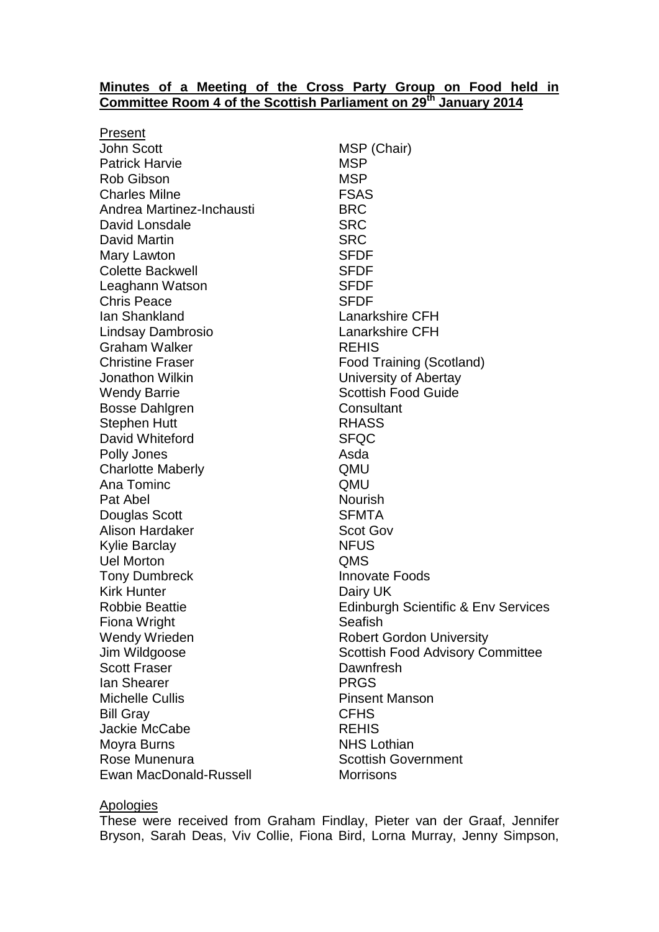#### **Minutes of a Meeting of the Cross Party Group on Food held in Committee Room 4 of the Scottish Parliament on 29 th January 2014**

Present John Scott MSP (Chair) Patrick Harvie MSP Rob Gibson MSP Charles Milne **FSAS** Andrea Martinez-Inchausti BRC David Lonsdale SRC David Martin SRC Mary Lawton SFDF Colette Backwell **SFDF** Leaghann Watson SFDF Chris Peace SFDF Ian Shankland Lanarkshire CFH Lindsay Dambrosio Lanarkshire CFH Graham Walker **REHIS** Christine Fraser **Food Training (Scotland)** Jonathon Wilkin University of Abertay Wendy Barrie **Scottish Food Guide** Scottish Food Guide Bosse Dahlgren Consultant Stephen Hutt **RHASS** David Whiteford SFQC Polly Jones **Asda** Charlotte Maberly **Charlotte Maberly Charlotte Maberly** Ana Tominc QMU Pat Abel Nourish Douglas Scott SFMTA Alison Hardaker Scot Gov Kylie Barclay NFUS Uel Morton QMS **Tony Dumbreck Innovate Foods** Kirk Hunter **Dairy UK** Fiona Wright **Seafish** Wendy Wrieden **Robert Gordon University** Scott Fraser **Dawnfresh Ian Shearer Community PRGS** Michelle Cullis **Pinsent Manson** Bill Gray **CFHS** Jackie McCabe REHIS Moyra Burns NHS Lothian Rose Munenura **New Scottish Government** Ewan MacDonald-Russell Morrisons

Robbie Beattie **Edinburgh Scientific & Env Services** Jim Wildgoose Scottish Food Advisory Committee

## Apologies

These were received from Graham Findlay, Pieter van der Graaf, Jennifer Bryson, Sarah Deas, Viv Collie, Fiona Bird, Lorna Murray, Jenny Simpson,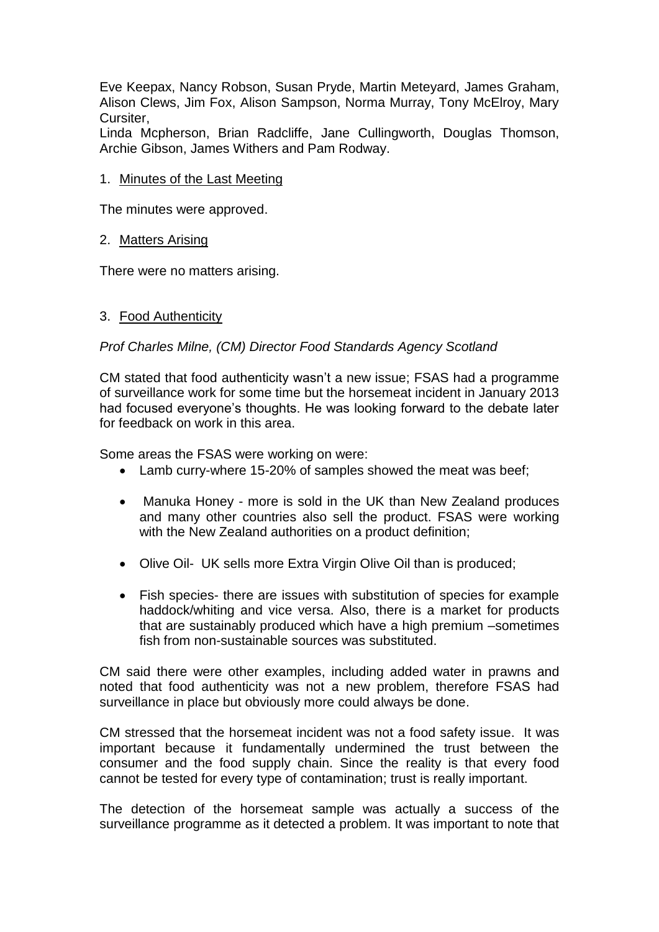Eve Keepax, Nancy Robson, Susan Pryde, Martin Meteyard, James Graham, Alison Clews, Jim Fox, Alison Sampson, Norma Murray, Tony McElroy, Mary Cursiter,

Linda Mcpherson, Brian Radcliffe, Jane Cullingworth, Douglas Thomson, Archie Gibson, James Withers and Pam Rodway.

# 1. Minutes of the Last Meeting

The minutes were approved.

### 2. Matters Arising

There were no matters arising.

# 3. Food Authenticity

### *Prof Charles Milne, (CM) Director Food Standards Agency Scotland*

CM stated that food authenticity wasn't a new issue; FSAS had a programme of surveillance work for some time but the horsemeat incident in January 2013 had focused everyone's thoughts. He was looking forward to the debate later for feedback on work in this area.

Some areas the FSAS were working on were:

- Lamb curry-where 15-20% of samples showed the meat was beef;
- Manuka Honey more is sold in the UK than New Zealand produces and many other countries also sell the product. FSAS were working with the New Zealand authorities on a product definition;
- Olive Oil- UK sells more Extra Virgin Olive Oil than is produced;
- Fish species- there are issues with substitution of species for example haddock/whiting and vice versa. Also, there is a market for products that are sustainably produced which have a high premium –sometimes fish from non-sustainable sources was substituted.

CM said there were other examples, including added water in prawns and noted that food authenticity was not a new problem, therefore FSAS had surveillance in place but obviously more could always be done.

CM stressed that the horsemeat incident was not a food safety issue. It was important because it fundamentally undermined the trust between the consumer and the food supply chain. Since the reality is that every food cannot be tested for every type of contamination; trust is really important.

The detection of the horsemeat sample was actually a success of the surveillance programme as it detected a problem. It was important to note that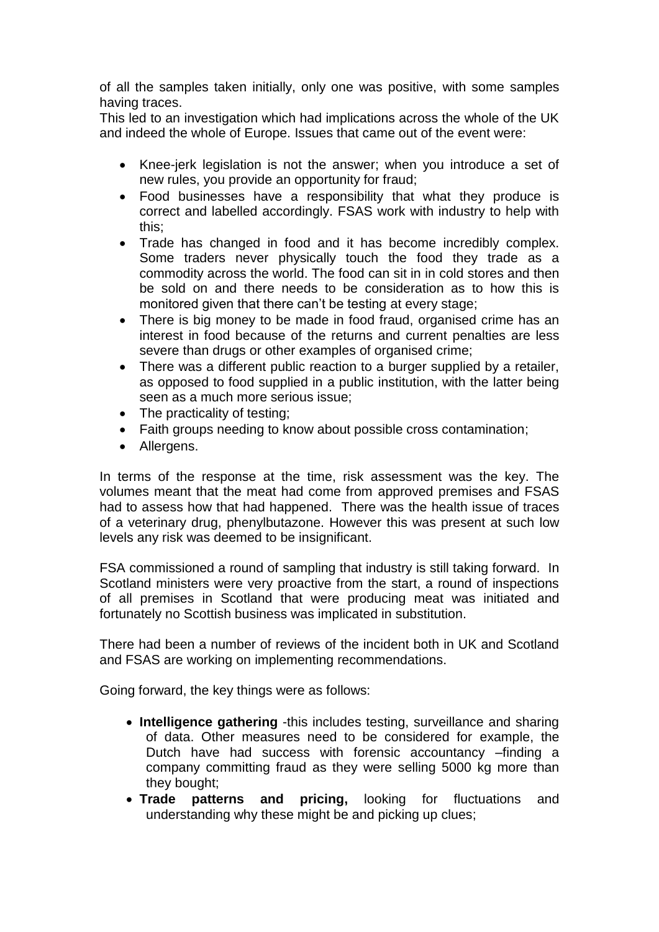of all the samples taken initially, only one was positive, with some samples having traces.

This led to an investigation which had implications across the whole of the UK and indeed the whole of Europe. Issues that came out of the event were:

- Knee-jerk legislation is not the answer; when you introduce a set of new rules, you provide an opportunity for fraud;
- Food businesses have a responsibility that what they produce is correct and labelled accordingly. FSAS work with industry to help with this;
- Trade has changed in food and it has become incredibly complex. Some traders never physically touch the food they trade as a commodity across the world. The food can sit in in cold stores and then be sold on and there needs to be consideration as to how this is monitored given that there can't be testing at every stage;
- There is big money to be made in food fraud, organised crime has an interest in food because of the returns and current penalties are less severe than drugs or other examples of organised crime;
- There was a different public reaction to a burger supplied by a retailer, as opposed to food supplied in a public institution, with the latter being seen as a much more serious issue;
- The practicality of testing;
- Faith groups needing to know about possible cross contamination;
- Allergens.

In terms of the response at the time, risk assessment was the key. The volumes meant that the meat had come from approved premises and FSAS had to assess how that had happened. There was the health issue of traces of a veterinary drug, phenylbutazone. However this was present at such low levels any risk was deemed to be insignificant.

FSA commissioned a round of sampling that industry is still taking forward. In Scotland ministers were very proactive from the start, a round of inspections of all premises in Scotland that were producing meat was initiated and fortunately no Scottish business was implicated in substitution.

There had been a number of reviews of the incident both in UK and Scotland and FSAS are working on implementing recommendations.

Going forward, the key things were as follows:

- **Intelligence gathering** -this includes testing, surveillance and sharing of data. Other measures need to be considered for example, the Dutch have had success with forensic accountancy –finding a company committing fraud as they were selling 5000 kg more than they bought;
- **Trade patterns and pricing,** looking for fluctuations and understanding why these might be and picking up clues;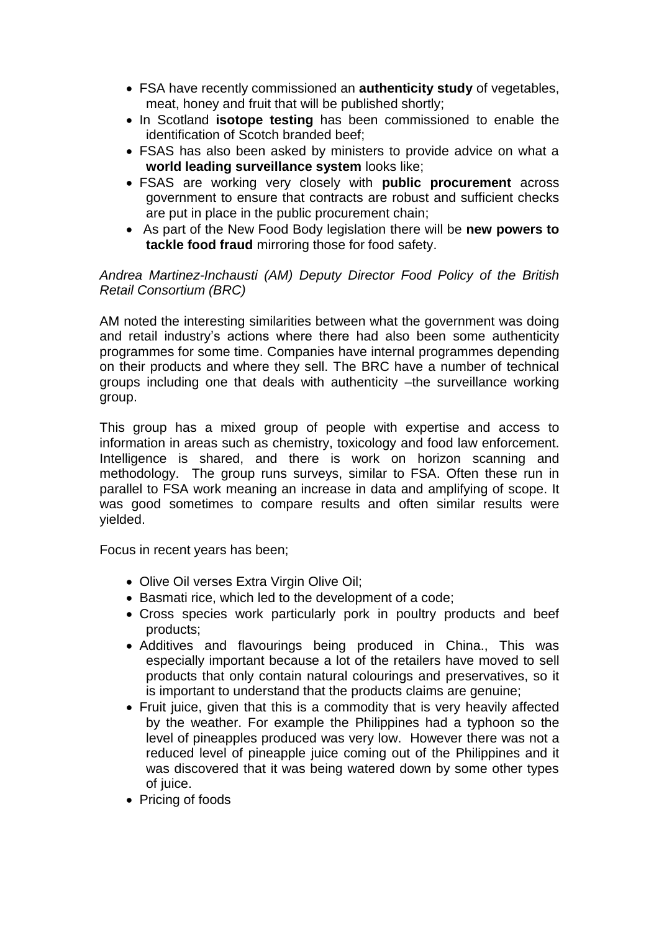- FSA have recently commissioned an **authenticity study** of vegetables, meat, honey and fruit that will be published shortly;
- In Scotland **isotope testing** has been commissioned to enable the identification of Scotch branded beef;
- FSAS has also been asked by ministers to provide advice on what a **world leading surveillance system** looks like;
- FSAS are working very closely with **public procurement** across government to ensure that contracts are robust and sufficient checks are put in place in the public procurement chain;
- As part of the New Food Body legislation there will be **new powers to tackle food fraud** mirroring those for food safety.

*Andrea Martinez-Inchausti (AM) Deputy Director Food Policy of the British Retail Consortium (BRC)*

AM noted the interesting similarities between what the government was doing and retail industry's actions where there had also been some authenticity programmes for some time. Companies have internal programmes depending on their products and where they sell. The BRC have a number of technical groups including one that deals with authenticity –the surveillance working group.

This group has a mixed group of people with expertise and access to information in areas such as chemistry, toxicology and food law enforcement. Intelligence is shared, and there is work on horizon scanning and methodology. The group runs surveys, similar to FSA. Often these run in parallel to FSA work meaning an increase in data and amplifying of scope. It was good sometimes to compare results and often similar results were yielded.

Focus in recent years has been;

- Olive Oil verses Extra Virgin Olive Oil;
- Basmati rice, which led to the development of a code;
- Cross species work particularly pork in poultry products and beef products;
- Additives and flavourings being produced in China., This was especially important because a lot of the retailers have moved to sell products that only contain natural colourings and preservatives, so it is important to understand that the products claims are genuine;
- Fruit juice, given that this is a commodity that is very heavily affected by the weather. For example the Philippines had a typhoon so the level of pineapples produced was very low. However there was not a reduced level of pineapple juice coming out of the Philippines and it was discovered that it was being watered down by some other types of juice.
- Pricing of foods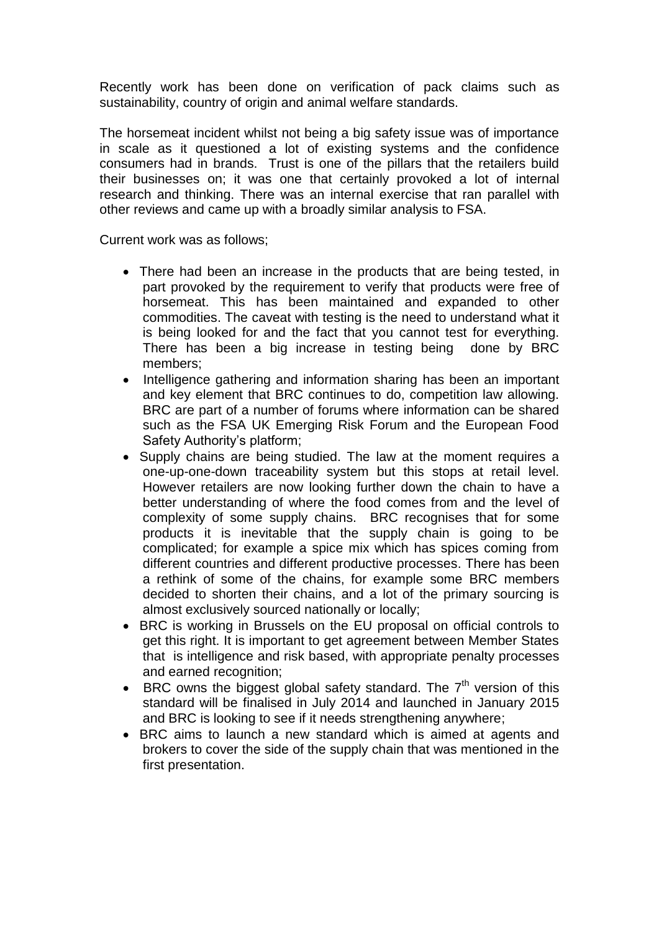Recently work has been done on verification of pack claims such as sustainability, country of origin and animal welfare standards.

The horsemeat incident whilst not being a big safety issue was of importance in scale as it questioned a lot of existing systems and the confidence consumers had in brands. Trust is one of the pillars that the retailers build their businesses on; it was one that certainly provoked a lot of internal research and thinking. There was an internal exercise that ran parallel with other reviews and came up with a broadly similar analysis to FSA.

Current work was as follows;

- There had been an increase in the products that are being tested, in part provoked by the requirement to verify that products were free of horsemeat. This has been maintained and expanded to other commodities. The caveat with testing is the need to understand what it is being looked for and the fact that you cannot test for everything. There has been a big increase in testing being done by BRC members;
- Intelligence gathering and information sharing has been an important and key element that BRC continues to do, competition law allowing. BRC are part of a number of forums where information can be shared such as the FSA UK Emerging Risk Forum and the European Food Safety Authority's platform;
- Supply chains are being studied. The law at the moment requires a one-up-one-down traceability system but this stops at retail level. However retailers are now looking further down the chain to have a better understanding of where the food comes from and the level of complexity of some supply chains. BRC recognises that for some products it is inevitable that the supply chain is going to be complicated; for example a spice mix which has spices coming from different countries and different productive processes. There has been a rethink of some of the chains, for example some BRC members decided to shorten their chains, and a lot of the primary sourcing is almost exclusively sourced nationally or locally;
- BRC is working in Brussels on the EU proposal on official controls to get this right. It is important to get agreement between Member States that is intelligence and risk based, with appropriate penalty processes and earned recognition;
- $\bullet$  BRC owns the biggest global safety standard. The  $7<sup>th</sup>$  version of this standard will be finalised in July 2014 and launched in January 2015 and BRC is looking to see if it needs strengthening anywhere;
- BRC aims to launch a new standard which is aimed at agents and brokers to cover the side of the supply chain that was mentioned in the first presentation.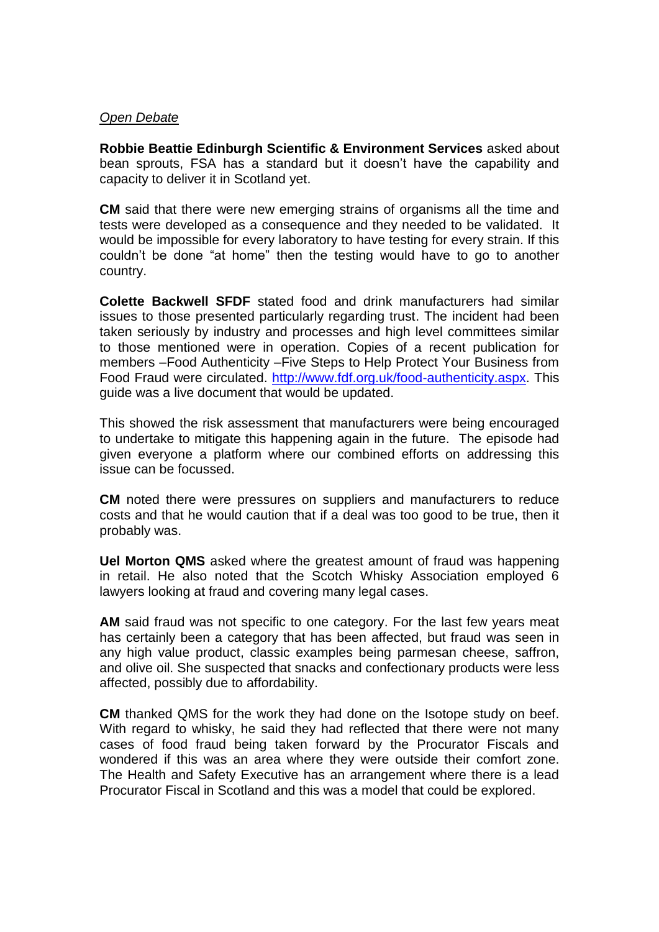## *Open Debate*

**Robbie Beattie Edinburgh Scientific & Environment Services** asked about bean sprouts, FSA has a standard but it doesn't have the capability and capacity to deliver it in Scotland yet.

**CM** said that there were new emerging strains of organisms all the time and tests were developed as a consequence and they needed to be validated. It would be impossible for every laboratory to have testing for every strain. If this couldn't be done "at home" then the testing would have to go to another country.

**Colette Backwell SFDF** stated food and drink manufacturers had similar issues to those presented particularly regarding trust. The incident had been taken seriously by industry and processes and high level committees similar to those mentioned were in operation. Copies of a recent publication for members –Food Authenticity –Five Steps to Help Protect Your Business from Food Fraud were circulated. [http://www.fdf.org.uk/food-authenticity.aspx.](http://www.fdf.org.uk/food-authenticity.aspx) This guide was a live document that would be updated.

This showed the risk assessment that manufacturers were being encouraged to undertake to mitigate this happening again in the future. The episode had given everyone a platform where our combined efforts on addressing this issue can be focussed.

**CM** noted there were pressures on suppliers and manufacturers to reduce costs and that he would caution that if a deal was too good to be true, then it probably was.

**Uel Morton QMS** asked where the greatest amount of fraud was happening in retail. He also noted that the Scotch Whisky Association employed 6 lawyers looking at fraud and covering many legal cases.

**AM** said fraud was not specific to one category. For the last few years meat has certainly been a category that has been affected, but fraud was seen in any high value product, classic examples being parmesan cheese, saffron, and olive oil. She suspected that snacks and confectionary products were less affected, possibly due to affordability.

**CM** thanked QMS for the work they had done on the Isotope study on beef. With regard to whisky, he said they had reflected that there were not many cases of food fraud being taken forward by the Procurator Fiscals and wondered if this was an area where they were outside their comfort zone. The Health and Safety Executive has an arrangement where there is a lead Procurator Fiscal in Scotland and this was a model that could be explored.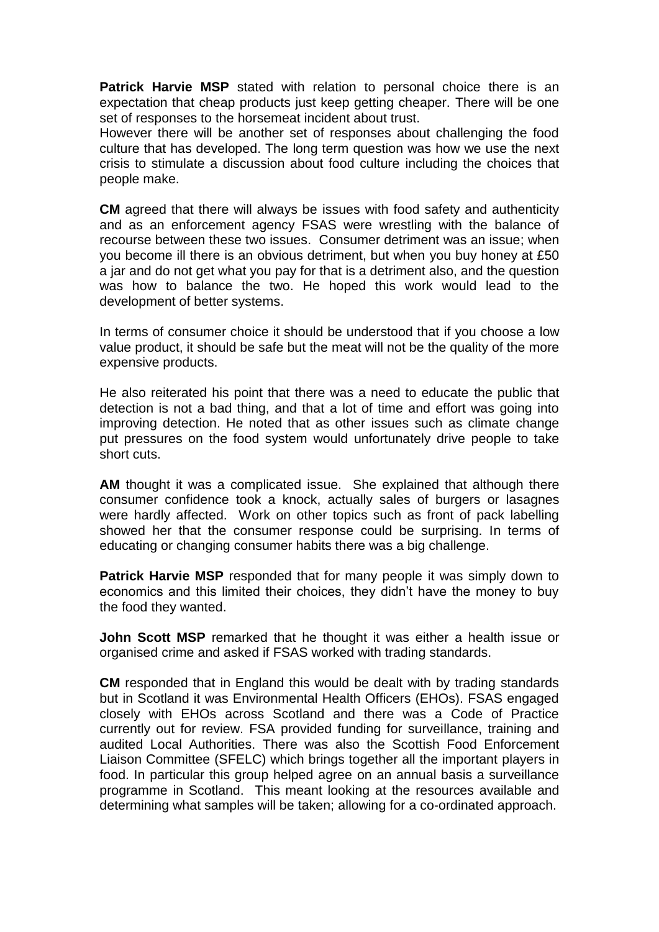**Patrick Harvie MSP** stated with relation to personal choice there is an expectation that cheap products just keep getting cheaper. There will be one set of responses to the horsemeat incident about trust.

However there will be another set of responses about challenging the food culture that has developed. The long term question was how we use the next crisis to stimulate a discussion about food culture including the choices that people make.

**CM** agreed that there will always be issues with food safety and authenticity and as an enforcement agency FSAS were wrestling with the balance of recourse between these two issues. Consumer detriment was an issue; when you become ill there is an obvious detriment, but when you buy honey at £50 a jar and do not get what you pay for that is a detriment also, and the question was how to balance the two. He hoped this work would lead to the development of better systems.

In terms of consumer choice it should be understood that if you choose a low value product, it should be safe but the meat will not be the quality of the more expensive products.

He also reiterated his point that there was a need to educate the public that detection is not a bad thing, and that a lot of time and effort was going into improving detection. He noted that as other issues such as climate change put pressures on the food system would unfortunately drive people to take short cuts.

**AM** thought it was a complicated issue. She explained that although there consumer confidence took a knock, actually sales of burgers or lasagnes were hardly affected. Work on other topics such as front of pack labelling showed her that the consumer response could be surprising. In terms of educating or changing consumer habits there was a big challenge.

**Patrick Harvie MSP** responded that for many people it was simply down to economics and this limited their choices, they didn't have the money to buy the food they wanted.

**John Scott MSP** remarked that he thought it was either a health issue or organised crime and asked if FSAS worked with trading standards.

**CM** responded that in England this would be dealt with by trading standards but in Scotland it was Environmental Health Officers (EHOs). FSAS engaged closely with EHOs across Scotland and there was a Code of Practice currently out for review. FSA provided funding for surveillance, training and audited Local Authorities. There was also the Scottish Food Enforcement Liaison Committee (SFELC) which brings together all the important players in food. In particular this group helped agree on an annual basis a surveillance programme in Scotland. This meant looking at the resources available and determining what samples will be taken; allowing for a co-ordinated approach.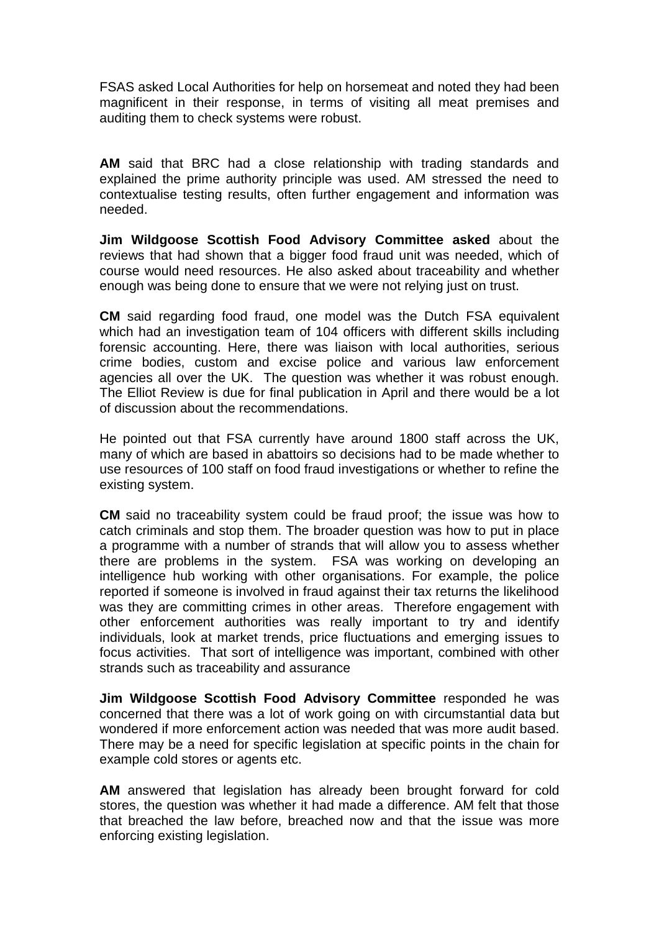FSAS asked Local Authorities for help on horsemeat and noted they had been magnificent in their response, in terms of visiting all meat premises and auditing them to check systems were robust.

**AM** said that BRC had a close relationship with trading standards and explained the prime authority principle was used. AM stressed the need to contextualise testing results, often further engagement and information was needed.

**Jim Wildgoose Scottish Food Advisory Committee asked** about the reviews that had shown that a bigger food fraud unit was needed, which of course would need resources. He also asked about traceability and whether enough was being done to ensure that we were not relying just on trust.

**CM** said regarding food fraud, one model was the Dutch FSA equivalent which had an investigation team of 104 officers with different skills including forensic accounting. Here, there was liaison with local authorities, serious crime bodies, custom and excise police and various law enforcement agencies all over the UK. The question was whether it was robust enough. The Elliot Review is due for final publication in April and there would be a lot of discussion about the recommendations.

He pointed out that FSA currently have around 1800 staff across the UK, many of which are based in abattoirs so decisions had to be made whether to use resources of 100 staff on food fraud investigations or whether to refine the existing system.

**CM** said no traceability system could be fraud proof; the issue was how to catch criminals and stop them. The broader question was how to put in place a programme with a number of strands that will allow you to assess whether there are problems in the system. FSA was working on developing an intelligence hub working with other organisations. For example, the police reported if someone is involved in fraud against their tax returns the likelihood was they are committing crimes in other areas. Therefore engagement with other enforcement authorities was really important to try and identify individuals, look at market trends, price fluctuations and emerging issues to focus activities. That sort of intelligence was important, combined with other strands such as traceability and assurance

**Jim Wildgoose Scottish Food Advisory Committee** responded he was concerned that there was a lot of work going on with circumstantial data but wondered if more enforcement action was needed that was more audit based. There may be a need for specific legislation at specific points in the chain for example cold stores or agents etc.

**AM** answered that legislation has already been brought forward for cold stores, the question was whether it had made a difference. AM felt that those that breached the law before, breached now and that the issue was more enforcing existing legislation.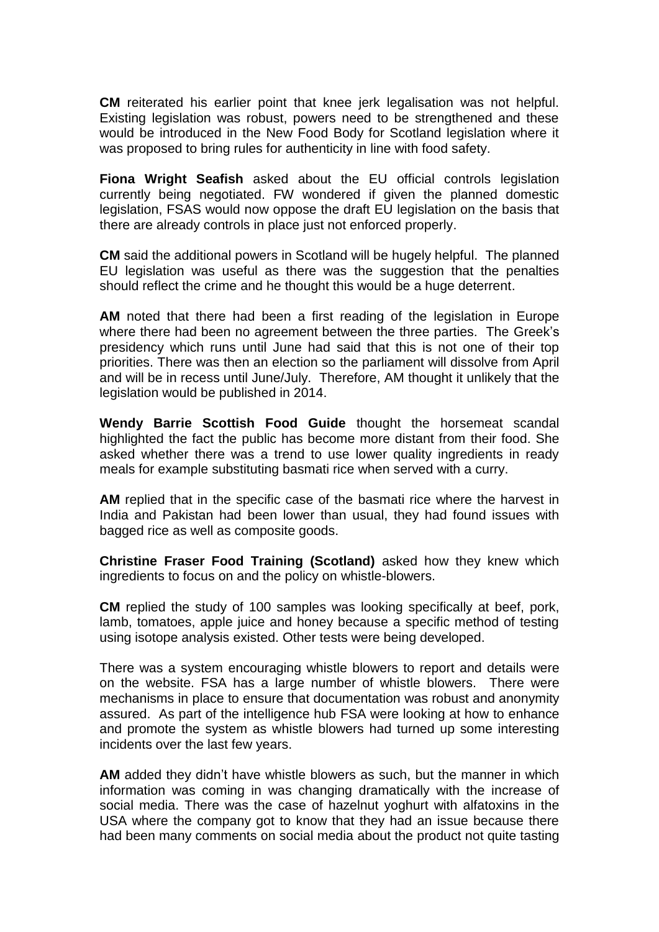**CM** reiterated his earlier point that knee jerk legalisation was not helpful. Existing legislation was robust, powers need to be strengthened and these would be introduced in the New Food Body for Scotland legislation where it was proposed to bring rules for authenticity in line with food safety.

**Fiona Wright Seafish** asked about the EU official controls legislation currently being negotiated. FW wondered if given the planned domestic legislation, FSAS would now oppose the draft EU legislation on the basis that there are already controls in place just not enforced properly.

**CM** said the additional powers in Scotland will be hugely helpful. The planned EU legislation was useful as there was the suggestion that the penalties should reflect the crime and he thought this would be a huge deterrent.

**AM** noted that there had been a first reading of the legislation in Europe where there had been no agreement between the three parties. The Greek's presidency which runs until June had said that this is not one of their top priorities. There was then an election so the parliament will dissolve from April and will be in recess until June/July. Therefore, AM thought it unlikely that the legislation would be published in 2014.

**Wendy Barrie Scottish Food Guide** thought the horsemeat scandal highlighted the fact the public has become more distant from their food. She asked whether there was a trend to use lower quality ingredients in ready meals for example substituting basmati rice when served with a curry.

**AM** replied that in the specific case of the basmati rice where the harvest in India and Pakistan had been lower than usual, they had found issues with bagged rice as well as composite goods.

**Christine Fraser Food Training (Scotland)** asked how they knew which ingredients to focus on and the policy on whistle-blowers.

**CM** replied the study of 100 samples was looking specifically at beef, pork, lamb, tomatoes, apple juice and honey because a specific method of testing using isotope analysis existed. Other tests were being developed.

There was a system encouraging whistle blowers to report and details were on the website. FSA has a large number of whistle blowers. There were mechanisms in place to ensure that documentation was robust and anonymity assured. As part of the intelligence hub FSA were looking at how to enhance and promote the system as whistle blowers had turned up some interesting incidents over the last few years.

**AM** added they didn't have whistle blowers as such, but the manner in which information was coming in was changing dramatically with the increase of social media. There was the case of hazelnut yoghurt with alfatoxins in the USA where the company got to know that they had an issue because there had been many comments on social media about the product not quite tasting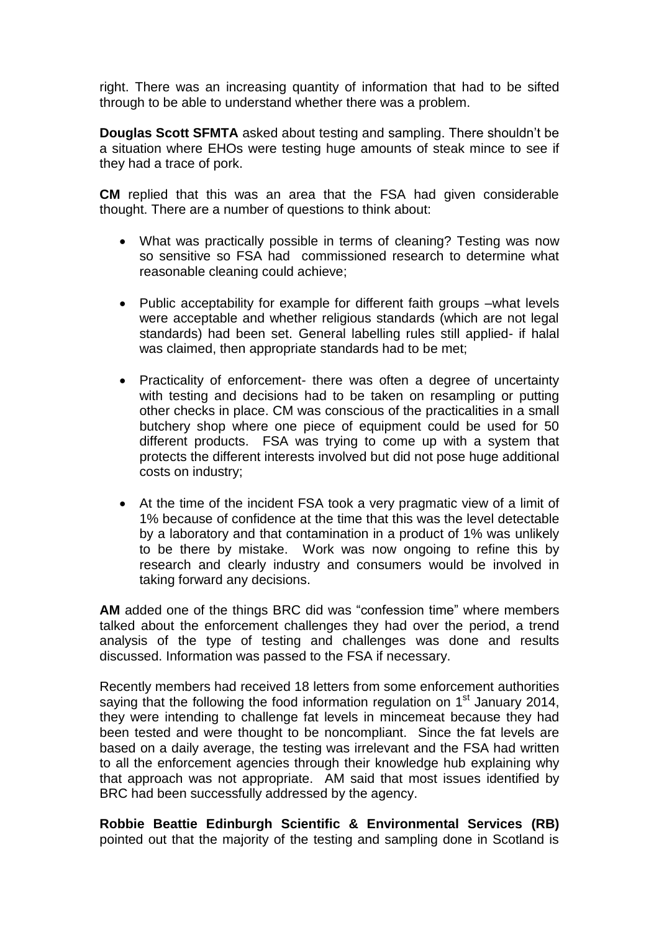right. There was an increasing quantity of information that had to be sifted through to be able to understand whether there was a problem.

**Douglas Scott SFMTA** asked about testing and sampling. There shouldn't be a situation where EHOs were testing huge amounts of steak mince to see if they had a trace of pork.

**CM** replied that this was an area that the FSA had given considerable thought. There are a number of questions to think about:

- What was practically possible in terms of cleaning? Testing was now so sensitive so FSA had commissioned research to determine what reasonable cleaning could achieve;
- Public acceptability for example for different faith groups –what levels were acceptable and whether religious standards (which are not legal standards) had been set. General labelling rules still applied- if halal was claimed, then appropriate standards had to be met;
- Practicality of enforcement- there was often a degree of uncertainty with testing and decisions had to be taken on resampling or putting other checks in place. CM was conscious of the practicalities in a small butchery shop where one piece of equipment could be used for 50 different products. FSA was trying to come up with a system that protects the different interests involved but did not pose huge additional costs on industry;
- At the time of the incident FSA took a very pragmatic view of a limit of 1% because of confidence at the time that this was the level detectable by a laboratory and that contamination in a product of 1% was unlikely to be there by mistake. Work was now ongoing to refine this by research and clearly industry and consumers would be involved in taking forward any decisions.

**AM** added one of the things BRC did was "confession time" where members talked about the enforcement challenges they had over the period, a trend analysis of the type of testing and challenges was done and results discussed. Information was passed to the FSA if necessary.

Recently members had received 18 letters from some enforcement authorities saying that the following the food information regulation on 1<sup>st</sup> January 2014, they were intending to challenge fat levels in mincemeat because they had been tested and were thought to be noncompliant. Since the fat levels are based on a daily average, the testing was irrelevant and the FSA had written to all the enforcement agencies through their knowledge hub explaining why that approach was not appropriate. AM said that most issues identified by BRC had been successfully addressed by the agency.

**Robbie Beattie Edinburgh Scientific & Environmental Services (RB)** pointed out that the majority of the testing and sampling done in Scotland is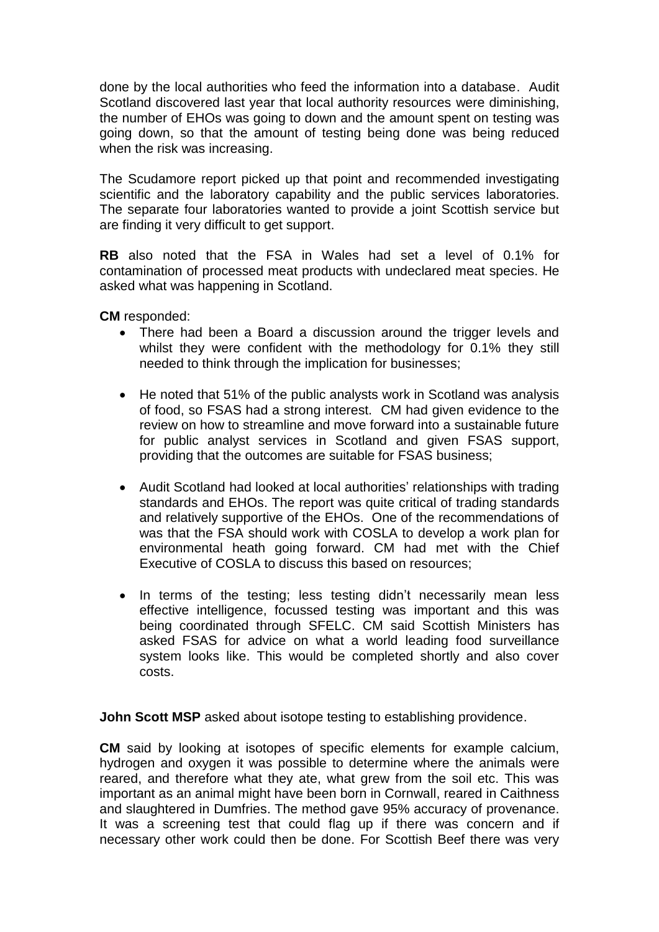done by the local authorities who feed the information into a database. Audit Scotland discovered last year that local authority resources were diminishing, the number of EHOs was going to down and the amount spent on testing was going down, so that the amount of testing being done was being reduced when the risk was increasing.

The Scudamore report picked up that point and recommended investigating scientific and the laboratory capability and the public services laboratories. The separate four laboratories wanted to provide a joint Scottish service but are finding it very difficult to get support.

**RB** also noted that the FSA in Wales had set a level of 0.1% for contamination of processed meat products with undeclared meat species. He asked what was happening in Scotland.

**CM** responded:

- There had been a Board a discussion around the trigger levels and whilst they were confident with the methodology for 0.1% they still needed to think through the implication for businesses;
- He noted that 51% of the public analysts work in Scotland was analysis of food, so FSAS had a strong interest. CM had given evidence to the review on how to streamline and move forward into a sustainable future for public analyst services in Scotland and given FSAS support, providing that the outcomes are suitable for FSAS business;
- Audit Scotland had looked at local authorities' relationships with trading standards and EHOs. The report was quite critical of trading standards and relatively supportive of the EHOs. One of the recommendations of was that the FSA should work with COSLA to develop a work plan for environmental heath going forward. CM had met with the Chief Executive of COSLA to discuss this based on resources;
- In terms of the testing; less testing didn't necessarily mean less effective intelligence, focussed testing was important and this was being coordinated through SFELC. CM said Scottish Ministers has asked FSAS for advice on what a world leading food surveillance system looks like. This would be completed shortly and also cover costs.

**John Scott MSP** asked about isotope testing to establishing providence.

**CM** said by looking at isotopes of specific elements for example calcium, hydrogen and oxygen it was possible to determine where the animals were reared, and therefore what they ate, what grew from the soil etc. This was important as an animal might have been born in Cornwall, reared in Caithness and slaughtered in Dumfries. The method gave 95% accuracy of provenance. It was a screening test that could flag up if there was concern and if necessary other work could then be done. For Scottish Beef there was very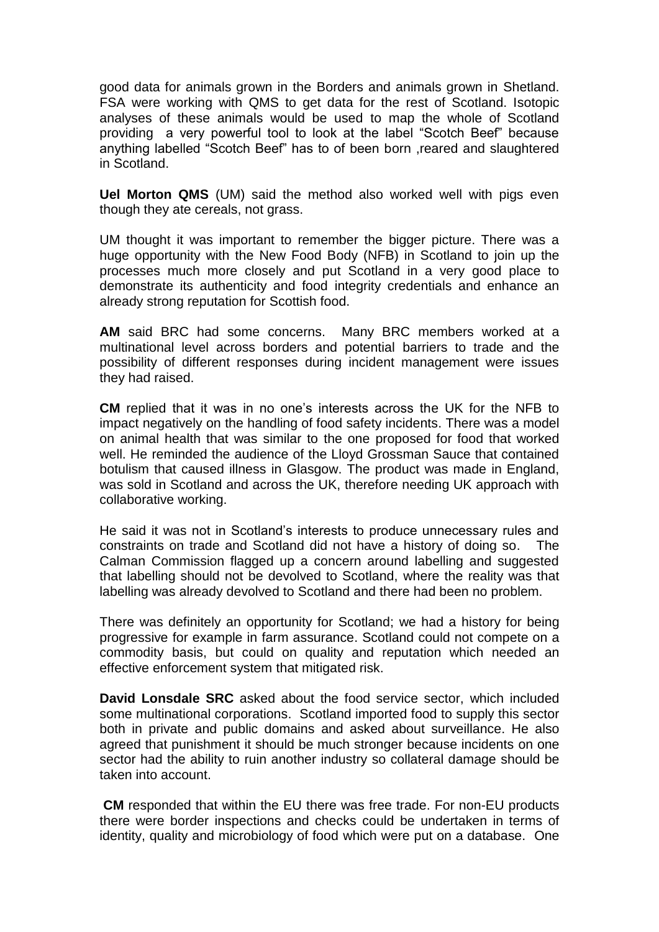good data for animals grown in the Borders and animals grown in Shetland. FSA were working with QMS to get data for the rest of Scotland. Isotopic analyses of these animals would be used to map the whole of Scotland providing a very powerful tool to look at the label "Scotch Beef" because anything labelled "Scotch Beef" has to of been born ,reared and slaughtered in Scotland.

**Uel Morton QMS** (UM) said the method also worked well with pigs even though they ate cereals, not grass.

UM thought it was important to remember the bigger picture. There was a huge opportunity with the New Food Body (NFB) in Scotland to join up the processes much more closely and put Scotland in a very good place to demonstrate its authenticity and food integrity credentials and enhance an already strong reputation for Scottish food.

**AM** said BRC had some concerns. Many BRC members worked at a multinational level across borders and potential barriers to trade and the possibility of different responses during incident management were issues they had raised.

**CM** replied that it was in no one's interests across the UK for the NFB to impact negatively on the handling of food safety incidents. There was a model on animal health that was similar to the one proposed for food that worked well. He reminded the audience of the Lloyd Grossman Sauce that contained botulism that caused illness in Glasgow. The product was made in England, was sold in Scotland and across the UK, therefore needing UK approach with collaborative working.

He said it was not in Scotland's interests to produce unnecessary rules and constraints on trade and Scotland did not have a history of doing so. The Calman Commission flagged up a concern around labelling and suggested that labelling should not be devolved to Scotland, where the reality was that labelling was already devolved to Scotland and there had been no problem.

There was definitely an opportunity for Scotland; we had a history for being progressive for example in farm assurance. Scotland could not compete on a commodity basis, but could on quality and reputation which needed an effective enforcement system that mitigated risk.

**David Lonsdale SRC** asked about the food service sector, which included some multinational corporations. Scotland imported food to supply this sector both in private and public domains and asked about surveillance. He also agreed that punishment it should be much stronger because incidents on one sector had the ability to ruin another industry so collateral damage should be taken into account.

**CM** responded that within the EU there was free trade. For non-EU products there were border inspections and checks could be undertaken in terms of identity, quality and microbiology of food which were put on a database. One